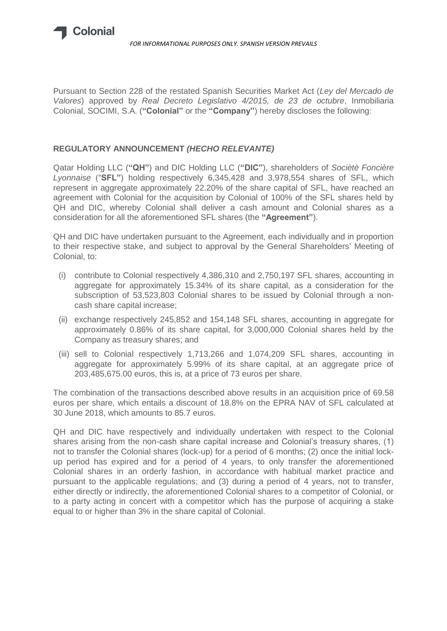

Pursuant to Section 228 of the restated Spanish Securities Market Act (*Ley del Mercado de Valores*) approved by *Real Decreto Legislativo 4/2015, de 23 de octubre*, Inmobiliaria Colonial, SOCIMI, S.A. (**"Colonial"** or the **"Company"**) hereby discloses the following:

## **REGULATORY ANNOUNCEMENT** *(HECHO RELEVANTE)*

Qatar Holding LLC (**"QH"**) and DIC Holding LLC (**"DIC"**), shareholders of *Sociètè Foncière Lyonnaise* ("**SFL"**) holding respectively 6,345,428 and 3,978,554 shares of SFL, which represent in aggregate approximately 22.20% of the share capital of SFL, have reached an agreement with Colonial for the acquisition by Colonial of 100% of the SFL shares held by QH and DIC, whereby Colonial shall deliver a cash amount and Colonial shares as a consideration for all the aforementioned SFL shares (the **"Agreement"**).

QH and DIC have undertaken pursuant to the Agreement, each individually and in proportion to their respective stake, and subject to approval by the General Shareholders' Meeting of Colonial, to:

- (i) contribute to Colonial respectively 4,386,310 and 2,750,197 SFL shares, accounting in aggregate for approximately 15.34% of its share capital, as a consideration for the subscription of 53,523,803 Colonial shares to be issued by Colonial through a noncash share capital increase;
- (ii) exchange respectively 245,852 and 154,148 SFL shares, accounting in aggregate for approximately 0.86% of its share capital, for 3,000,000 Colonial shares held by the Company as treasury shares; and
- (iii) sell to Colonial respectively 1,713,266 and 1,074,209 SFL shares, accounting in aggregate for approximately 5.99% of its share capital, at an aggregate price of 203,485,675.00 euros, this is, at a price of 73 euros per share.

The combination of the transactions described above results in an acquisition price of 69.58 euros per share, which entails a discount of 18.8% on the EPRA NAV of SFL calculated at 30 June 2018, which amounts to 85.7 euros.

QH and DIC have respectively and individually undertaken with respect to the Colonial shares arising from the non-cash share capital increase and Colonial's treasury shares, (1) not to transfer the Colonial shares (lock-up) for a period of 6 months; (2) once the initial lockup period has expired and for a period of 4 years, to only transfer the aforementioned Colonial shares in an orderly fashion, in accordance with habitual market practice and pursuant to the applicable regulations; and (3) during a period of 4 years, not to transfer, either directly or indirectly, the aforementioned Colonial shares to a competitor of Colonial, or to a party acting in concert with a competitor which has the purpose of acquiring a stake equal to or higher than 3% in the share capital of Colonial.